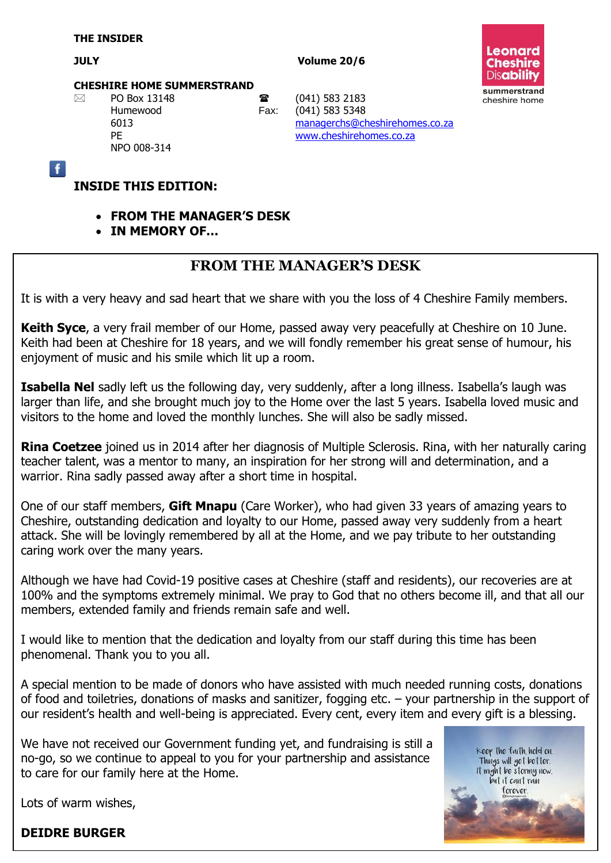$\overline{f}$ 

**JULY Volume 20/6**



### **CHESHIRE HOME SUMMERSTRAND**

NPO 008-314

 $\boxtimes$  PO Box 13148 **a** (041) 583 2183 Humewood Fax: (041) 583 5348 6013 [managerchs@cheshirehomes.co.za](mailto:managerchs@cheshirehomes.co.za) PE [www.cheshirehomes.co.za](http://www.cheshirehomes.co.za/)

### **INSIDE THIS EDITION:**

- **FROM THE MANAGER'S DESK**
- **IN MEMORY OF…**

# **FROM THE MANAGER'S DESK**

It is with a very heavy and sad heart that we share with you the loss of 4 Cheshire Family members.

**Keith Syce**, a very frail member of our Home, passed away very peacefully at Cheshire on 10 June. Keith had been at Cheshire for 18 years, and we will fondly remember his great sense of humour, his enjoyment of music and his smile which lit up a room.

**Isabella Nel** sadly left us the following day, very suddenly, after a long illness. Isabella's laugh was larger than life, and she brought much joy to the Home over the last 5 years. Isabella loved music and visitors to the home and loved the monthly lunches. She will also be sadly missed.

**Rina Coetzee** joined us in 2014 after her diagnosis of Multiple Sclerosis. Rina, with her naturally caring teacher talent, was a mentor to many, an inspiration for her strong will and determination, and a warrior. Rina sadly passed away after a short time in hospital.

One of our staff members, **Gift Mnapu** (Care Worker), who had given 33 years of amazing years to Cheshire, outstanding dedication and loyalty to our Home, passed away very suddenly from a heart attack. She will be lovingly remembered by all at the Home, and we pay tribute to her outstanding caring work over the many years.

Although we have had Covid-19 positive cases at Cheshire (staff and residents), our recoveries are at 100% and the symptoms extremely minimal. We pray to God that no others become ill, and that all our members, extended family and friends remain safe and well.

I would like to mention that the dedication and loyalty from our staff during this time has been phenomenal. Thank you to you all.

A special mention to be made of donors who have assisted with much needed running costs, donations of food and toiletries, donations of masks and sanitizer, fogging etc. – your partnership in the support of our resident's health and well-being is appreciated. Every cent, every item and every gift is a blessing.

We have not received our Government funding yet, and fundraising is still a no-go, so we continue to appeal to you for your partnership and assistance to care for our family here at the Home.

keep the faith, hold on. Things will get better. It might be stormy now. but it can't rain forever.

Lots of warm wishes,

### **DEIDRE BURGER**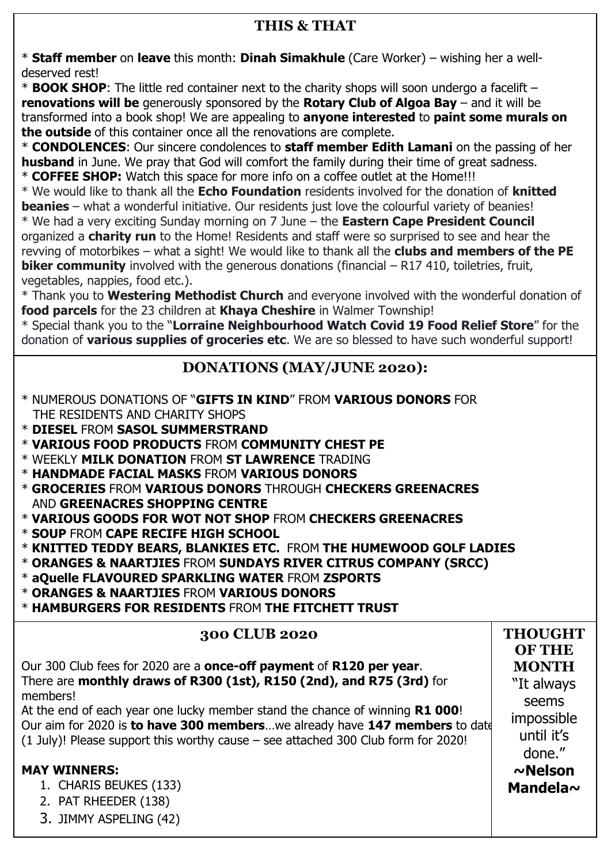### **THIS & THAT**

\* **Staff member** on **leave** this month: **Dinah Simakhule** (Care Worker) – wishing her a welldeserved rest!

\* **BOOK SHOP**: The little red container next to the charity shops will soon undergo a facelift – **renovations will be** generously sponsored by the **Rotary Club of Algoa Bay** – and it will be transformed into a book shop! We are appealing to **anyone interested** to **paint some murals on the outside** of this container once all the renovations are complete.

\* **CONDOLENCES**: Our sincere condolences to **staff member Edith Lamani** on the passing of her **husband** in June. We pray that God will comfort the family during their time of great sadness. \* **COFFEE SHOP:** Watch this space for more info on a coffee outlet at the Home!!!

\* We would like to thank all the **Echo Foundation** residents involved for the donation of **knitted beanies** – what a wonderful initiative. Our residents just love the colourful variety of beanies!

\* We had a very exciting Sunday morning on 7 June – the **Eastern Cape President Council** organized a **charity run** to the Home! Residents and staff were so surprised to see and hear the revving of motorbikes – what a sight! We would like to thank all the **clubs and members of the PE biker community** involved with the generous donations (financial – R17 410, toiletries, fruit, vegetables, nappies, food etc.).

\* Thank you to **Westering Methodist Church** and everyone involved with the wonderful donation of **food parcels** for the 23 children at **Khaya Cheshire** in Walmer Township!

\* Special thank you to the "**Lorraine Neighbourhood Watch Covid 19 Food Relief Store**" for the donation of **various supplies of groceries etc**. We are so blessed to have such wonderful support!

### **DONATIONS (MAY/JUNE 2020):**

- \* NUMEROUS DONATIONS OF "**GIFTS IN KIND**" FROM **VARIOUS DONORS** FOR THE RESIDENTS AND CHARITY SHOPS
- \* **DIESEL** FROM **SASOL SUMMERSTRAND**
- \* **VARIOUS FOOD PRODUCTS** FROM **COMMUNITY CHEST PE**
- \* WEEKLY **MILK DONATION** FROM **ST LAWRENCE** TRADING
- \* **HANDMADE FACIAL MASKS** FROM **VARIOUS DONORS**
- \* **GROCERIES** FROM **VARIOUS DONORS** THROUGH **CHECKERS GREENACRES** AND **GREENACRES SHOPPING CENTRE**
- \* **VARIOUS GOODS FOR WOT NOT SHOP** FROM **CHECKERS GREENACRES**
- \* **SOUP** FROM **CAPE RECIFE HIGH SCHOOL**
- \* **KNITTED TEDDY BEARS, BLANKIES ETC.** FROM **THE HUMEWOOD GOLF LADIES**
- \* **ORANGES & NAARTJIES** FROM **SUNDAYS RIVER CITRUS COMPANY (SRCC)**
- \* **aQuelle FLAVOURED SPARKLING WATER** FROM **ZSPORTS**
- \* **ORANGES & NAARTJIES** FROM **VARIOUS DONORS**
- \* **HAMBURGERS FOR RESIDENTS** FROM **THE FITCHETT TRUST**

### **300 CLUB 2020** Our 300 Club fees for 2020 are a **once-off payment** of **R120 per year**. There are **monthly draws of R300 (1st), R150 (2nd), and R75 (3rd)** for members! At the end of each year one lucky member stand the chance of winning **R1 000**! Our aim for 2020 is **to have 300 members**…we already have **147 members** to date (1 July)! Please support this worthy cause – see attached 300 Club form for 2020! **MAY WINNERS:**  1. CHARIS BEUKES (133) 2. PAT RHEEDER (138) 3. JIMMY ASPELING (42) **THOUGHT OF THE MONTH** "It always seems impossible until it's done." **~Nelson Mandela~**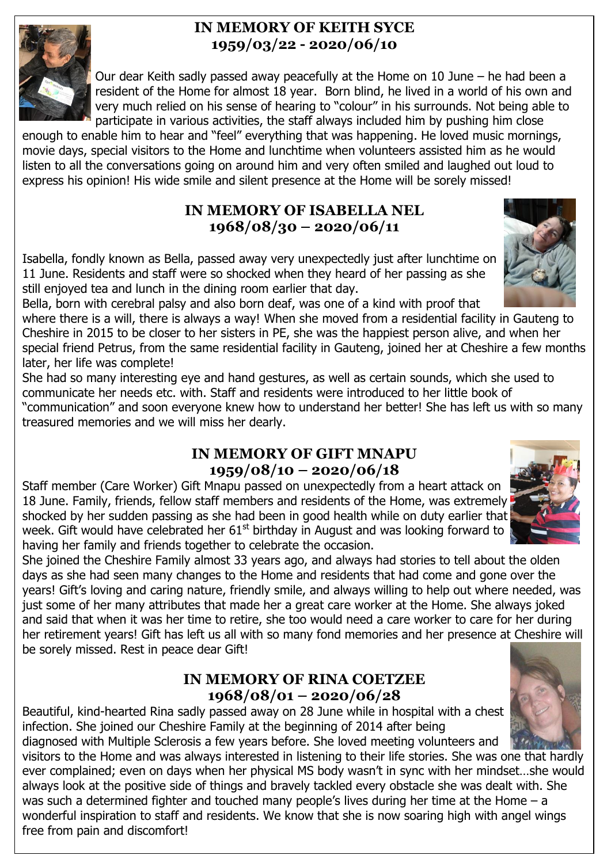### **IN MEMORY OF KEITH SYCE 1959/03/22 - 2020/06/10**



 Our dear Keith sadly passed away peacefully at the Home on 10 June – he had been a resident of the Home for almost 18 year. Born blind, he lived in a world of his own and very much relied on his sense of hearing to "colour" in his surrounds. Not being able to participate in various activities, the staff always included him by pushing him close

enough to enable him to hear and "feel" everything that was happening. He loved music mornings, movie days, special visitors to the Home and lunchtime when volunteers assisted him as he would listen to all the conversations going on around him and very often smiled and laughed out loud to express his opinion! His wide smile and silent presence at the Home will be sorely missed!

# **IN MEMORY OF ISABELLA NEL 1968/08/30 – 2020/06/11**

Isabella, fondly known as Bella, passed away very unexpectedly just after lunchtime on 11 June. Residents and staff were so shocked when they heard of her passing as she still enjoyed tea and lunch in the dining room earlier that day.



where there is a will, there is always a way! When she moved from a residential facility in Gauteng to Cheshire in 2015 to be closer to her sisters in PE, she was the happiest person alive, and when her special friend Petrus, from the same residential facility in Gauteng, joined her at Cheshire a few months later, her life was complete!

She had so many interesting eye and hand gestures, as well as certain sounds, which she used to communicate her needs etc. with. Staff and residents were introduced to her little book of "communication" and soon everyone knew how to understand her better! She has left us with so many treasured memories and we will miss her dearly.

# **IN MEMORY OF GIFT MNAPU 1959/08/10 – 2020/06/18**

Staff member (Care Worker) Gift Mnapu passed on unexpectedly from a heart attack on 18 June. Family, friends, fellow staff members and residents of the Home, was extremely shocked by her sudden passing as she had been in good health while on duty earlier that week. Gift would have celebrated her  $61<sup>st</sup>$  birthday in August and was looking forward to having her family and friends together to celebrate the occasion.



She joined the Cheshire Family almost 33 years ago, and always had stories to tell about the olden days as she had seen many changes to the Home and residents that had come and gone over the years! Gift's loving and caring nature, friendly smile, and always willing to help out where needed, was just some of her many attributes that made her a great care worker at the Home. She always joked and said that when it was her time to retire, she too would need a care worker to care for her during her retirement years! Gift has left us all with so many fond memories and her presence at Cheshire will be sorely missed. Rest in peace dear Gift!

# **IN MEMORY OF RINA COETZEE 1968/08/01 – 2020/06/28**

Beautiful, kind-hearted Rina sadly passed away on 28 June while in hospital with a chest infection. She joined our Cheshire Family at the beginning of 2014 after being

diagnosed with Multiple Sclerosis a few years before. She loved meeting volunteers and visitors to the Home and was always interested in listening to their life stories. She was one that hardly ever complained; even on days when her physical MS body wasn't in sync with her mindset…she would always look at the positive side of things and bravely tackled every obstacle she was dealt with. She was such a determined fighter and touched many people's lives during her time at the Home – a wonderful inspiration to staff and residents. We know that she is now soaring high with angel wings free from pain and discomfort!